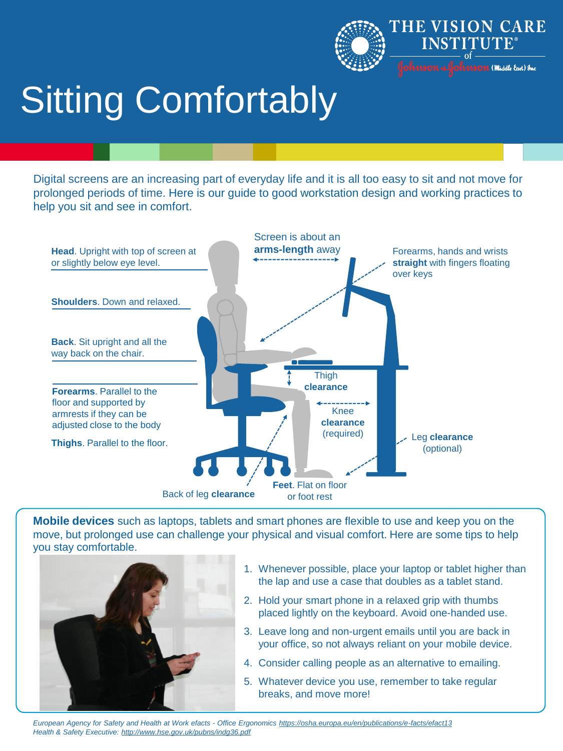

# Sitting Comfortably

Digital screens are an increasing part of everyday life and it is all too easy to sit and not move for prolonged periods of time. Here is our guide to good workstation design and working practices to help you sit and see in comfort.



**Mobile devices** such as laptops, tablets and smart phones are flexible to use and keep you on the move, but prolonged use can challenge your physical and visual comfort. Here are some tips to help you stay comfortable.



- 1. Whenever possible, place your laptop or tablet higher than the lap and use a case that doubles as a tablet stand.
- 2. Hold your smart phone in a relaxed grip with thumbs placed lightly on the keyboard. Avoid one-handed use.
- 3. Leave long and non-urgent emails until you are back in your office, so not always reliant on your mobile device.
- 4. Consider calling people as an alternative to emailing.
- 5. Whatever device you use, remember to take regular breaks, and move more!

*European Agency for Safety and Health at Work efacts - Office Ergonomics https://osha.europa.eu/en/publications/e-facts/efact13 Health & Safety Executive: http://www.hse.gov.uk/pubns/indg36.pdf*